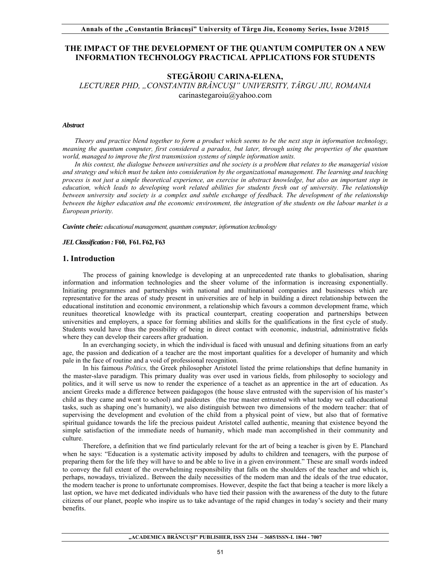## **THE IMPACT OF THE DEVELOPMENT OF THE QUANTUM COMPUTER ON A NEW INFORMATION TECHNOLOGY PRACTICAL APPLICATIONS FOR STUDENTS**

# **STEGĂROIU CARINA-ELENA,**

*LECTURER PHD, "CONSTANTIN BRÂNCUŞI" UNIVERSITY, TÂRGU JIU, ROMANIA*  carinastegaroiu@yahoo.com

#### *Abstract*

*Theory and practice blend together to form a product which seems to be the next step in information technology, meaning the quantum computer, first considered a paradox, but later, through using the properties of the quantum world, managed to improve the first transmission systems of simple information units.* 

*In this context, the dialogue between universities and the society is a problem that relates to the managerial vision*  and strategy and which must be taken into consideration by the organizational management. The learning and teaching *process is not just a simple theoretical experience, an exercise in abstract knowledge, but also an important step in education, which leads to developing work related abilities for students fresh out of university. The relationship between university and society is a complex and subtle exchange of feedback. The development of the relationship between the higher education and the economic environment, the integration of the students on the labour market is a European priority.* 

*Cuvinte cheie: educational management, quantum computer, information technology* 

#### *JEL Classification :* **F60, F61. F62, F63**

#### **1. Introduction**

The process of gaining knowledge is developing at an unprecedented rate thanks to globalisation, sharing information and information technologies and the sheer volume of the information is increasing exponentially. Initiating programmes and partnerships with national and multinational companies and businesses which are representative for the areas of study present in universities are of help in building a direct relationship between the educational institution and economic environment, a relationship which favours a common development frame, which reunitues theoretical knowledge with its practical counterpart, creating cooperation and partnerships between universities and employers, a space for forming abilities and skills for the qualifications in the first cycle of study. Students would have thus the possibility of being in direct contact with economic, industrial, administrative fields where they can develop their careers after graduation.

In an everchanging society, in which the individual is faced with unusual and defining situations from an early age, the passion and dedication of a teacher are the most important qualities for a developer of humanity and which pale in the face of routine and a void of professional recognition.

In his faimous *Politics,* the Greek philosopher Aristotel listed the prime relationships that define humanity in the master-slave paradigm. This primary duality was over used in various fields, from philosophy to sociology and politics, and it will serve us now to render the experience of a teachet as an apprentice in the art of education. As ancient Greeks made a difference between paidagogos (the house slave entrusted with the supervision of his master's child as they came and went to school) and paideutes (the true master entrusted with what today we call educational tasks, such as shaping one's humanity), we also distinguish between two dimensions of the modern teacher: that of supervising the development and evolution of the child from a physical point of view, but also that of formative spiritual guidance towards the life the precious paideut Aristotel called authentic, meaning that existence beyond the simple satisfaction of the immediate needs of humanity, which made man accomplished in their community and culture.

Therefore, a definition that we find particularly relevant for the art of being a teacher is given by E. Planchard when he says: "Education is a systematic activity imposed by adults to children and teenagers, with the purpose of preparing them for the life they will have to and be able to live in a given environment." These are small words indeed to convey the full extent of the overwhelming responsibility that falls on the shoulders of the teacher and which is, perhaps, nowadays, trivialized.. Between the daily necessities of the modern man and the ideals of the true educator, the modern teacher is prone to unfortunate compromises. However, despite the fact that being a teacher is more likely a last option, we have met dedicated individuals who have tied their passion with the awareness of the duty to the future citizens of our planet, people who inspire us to take advantage of the rapid changes in today's society and their many benefits.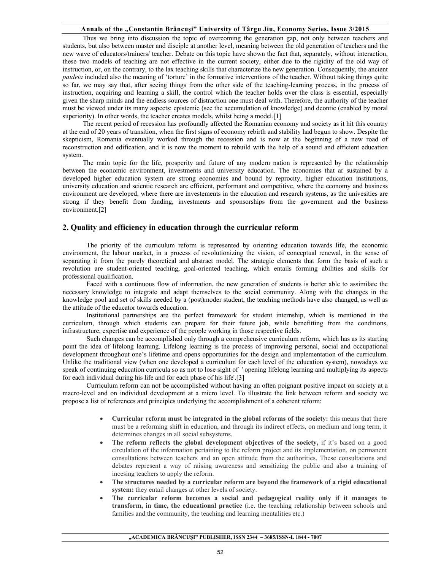## **Annals of the "Constantin Brâncuşi" University of Târgu Jiu, Economy Series, Issue 3/2015**

Thus we bring into discussion the topic of overcoming the generation gap, not only between teachers and students, but also between master and disciple at another level, meaning between the old generation of teachers and the new wave of educators/trainers/ teacher. Debate on this topic have shown the fact that, separately, without interaction, these two models of teaching are not effective in the current society, either due to the rigidity of the old way of instruction, or, on the contrary, to the lax teaching skills that characterize the new generation. Consequently, the ancient *paideia* included also the meaning of 'torture' in the formative interventions of the teacher. Without taking things quite so far, we may say that, after seeing things from the other side of the teaching-learning process, in the process of instruction, acquiring and learning a skill, the control which the teacher holds over the class is essential, especially given the sharp minds and the endless sources of distraction one must deal with. Therefore, the authority of the teacher must be viewed under its many aspects: epistemic (see the accumulation of knowledge) and deontic (enabled by moral superiority). In other words, the teacher creates models, whilst being a model.<sup>[1]</sup>

The recent period of recession has profoundly affected the Romanian economy and society as it hit this country at the end of 20 years of transition, when the first signs of economy rebirth and stability had begun to show. Despite the skepticism, Romania eventually worked through the recession and is now at the beginning of a new road of reconstruction and edification, and it is now the moment to rebuild with the help of a sound and efficient education system.

The main topic for the life, prosperity and future of any modern nation is represented by the relationship between the economic environment, investments and university education. The economies that ar sustained by a developed higher education system are strong economies and bound by reprocity, higher education institutions, university education and scientic research are efficient, performant and competitive, where the economy and business environment are developed, where there are investements in the education and research systems, as the univesities are strong if they benefit from funding, investments and sponsorships from the government and the business environment.[2]

## **2. Quality and efficiency in education through the curricular reform**

The priority of the curriculum reform is represented by orienting education towards life, the economic environment, the labour market, in a process of revolutionizing the vision, of conceptual renewal, in the sense of separating it from the purely theoretical and abstract model. The strategic elements that form the basis of such a revolution are student-oriented teaching, goal-oriented teaching, which entails forming abilities and skills for professional qualification.

 Faced with a continuous flow of information, the new generation of students is better able to assimilate the necessary knowledge to integrate and adapt themselves to the social community. Along with the changes in the knowledge pool and set of skills needed by a (post)moder student, the teaching methods have also changed, as well as the attitude of the educator towards education.

 Institutional partnerships are the perfect framework for student internship, which is mentioned in the curriculum, through which students can prepare for their future job, while benefitting from the conditions, infrastructure, expertise and experience of the people working in those respective fields.

 Such changes can be accomplished only through a comprehensive curriculum reform, which has as its starting point the idea of lifelong learning. Lifelong learning is the process of improving personal, social and occupational development throughout one's lifetime and opens opportunities for the design and implementation of the curriculum. Unlike the traditional view (when one developed a curriculum for each level of the education system), nowadays we speak of continuing education curricula so as not to lose sight of ' opening lifelong learning and multiplying its aspects for each individual during his life and for each phase of his life'.[3]

 Curriculum reform can not be accomplished without having an often poignant positive impact on society at a macro-level and on individual development at a micro level. To illustrate the link between reform and society we propose a list of references and principles underlying the accomplishment of a coherent reform:

- **Curricular reform must be integrated in the global reforms of the society:** this means that there must be a reforming shift in education, and through its indirect effects, on medium and long term, it determines changes in all social subsystems.
- **The reform reflects the global development objectives of the society,** if it's based on a good circulation of the information pertaining to the reform project and its implementation, on permanent consultations between teachers and an open attitude from the authorities. These consultations and debates represent a way of raising awareness and sensitizing the public and also a training of incesing teachers to apply the reform.
- **The structures needed by a curricular reform are beyond the framework of a rigid educational**  system: they entail changes at other levels of society.
- **The curricular reform becomes a social and pedagogical reality only if it manages to transform, in time, the educational practice** (i.e. the teaching relationship between schools and families and the community, the teaching and learning mentalities etc.)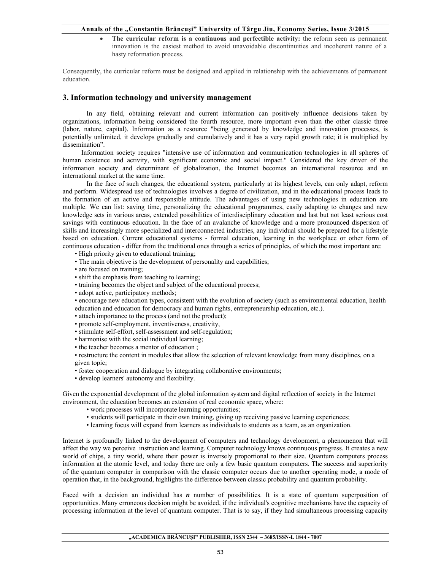## **Annals of the "Constantin Brâncuşi" University of Târgu Jiu, Economy Series, Issue 3/2015**

 **The curricular reform is a continuous and perfectible activity:** the reform seen as permanent innovation is the easiest method to avoid unavoidable discontinuities and incoherent nature of a hasty reformation process.

Consequently, the curricular reform must be designed and applied in relationship with the achievements of permanent education.

## **3. Information technology and university management**

In any field, obtaining relevant and current information can positively influence decisions taken by organizations, information being considered the fourth resource, more important even than the other classic three (labor, nature, capital). Information as a resource "being generated by knowledge and innovation processes, is potentially unlimited, it develops gradually and cumulatively and it has a very rapid growth rate; it is multiplied by dissemination".

 Information society requires "intensive use of information and communication technologies in all spheres of human existence and activity, with significant economic and social impact." Considered the key driver of the information society and determinant of globalization, the Internet becomes an international resource and an international market at the same time.

 In the face of such changes, the educational system, particularly at its highest levels, can only adapt, reform and perform. Widespread use of technologies involves a degree of civilization, and in the educational process leads to the formation of an active and responsible attitude. The advantages of using new technologies in education are multiple. We can list: saving time, personalizing the educational programmes, easily adapting to changes and new knowledge sets in various areas, extended possibilities of interdisciplinary education and last but not least serious cost savings with continuous education. In the face of an avalanche of knowledge and a more pronounced dispersion of skills and increasingly more specialized and interconnected industries, any individual should be prepared for a lifestyle based on education. Current educational systems - formal education, learning in the workplace or other form of continuous education - differ from the traditional ones through a series of principles, of which the most important are:

- High priority given to educational training;
- The main objective is the development of personality and capabilities;
- are focused on training;
- shift the emphasis from teaching to learning;
- training becomes the object and subject of the educational process;
- adopt active, participatory methods;

• encourage new education types, consistent with the evolution of society (such as environmental education, health education and education for democracy and human rights, entrepreneurship education, etc.).

- attach importance to the process (and not the product);
- promote self-employment, inventiveness, creativity,
- stimulate self-effort, self-assessment and self-regulation;
- harmonise with the social individual learning;
- the teacher becomes a mentor of education ;

• restructure the content in modules that allow the selection of relevant knowledge from many disciplines, on a given topic;

- foster cooperation and dialogue by integrating collaborative environments;
- develop learners' autonomy and flexibility.

Given the exponential development of the global information system and digital reflection of society in the Internet environment, the education becomes an extension of real economic space, where:

- work processes will incorporate learning opportunities;
- students will participate in their own training, giving up receiving passive learning experiences;
- learning focus will expand from learners as individuals to students as a team, as an organization.

Internet is profoundly linked to the development of computers and technology development, a phenomenon that will affect the way we perceive instruction and learning. Computer technology knows continuous progress. It creates a new world of chips, a tiny world, where their power is inversely proportional to their size. Quantum computers process information at the atomic level, and today there are only a few basic quantum computers. The success and superiority of the quantum computer in comparison with the classic computer occurs due to another operating mode, a mode of operation that, in the background, highlights the difference between classic probability and quantum probability.

Faced with a decision an individual has *n* number of possibilities. It is a state of quantum superposition of opportunities. Many erroneous decision might be avoided, if the individual's cognitive mechanisms have the capacity of processing information at the level of quantum computer. That is to say, if they had simultaneous processing capacity